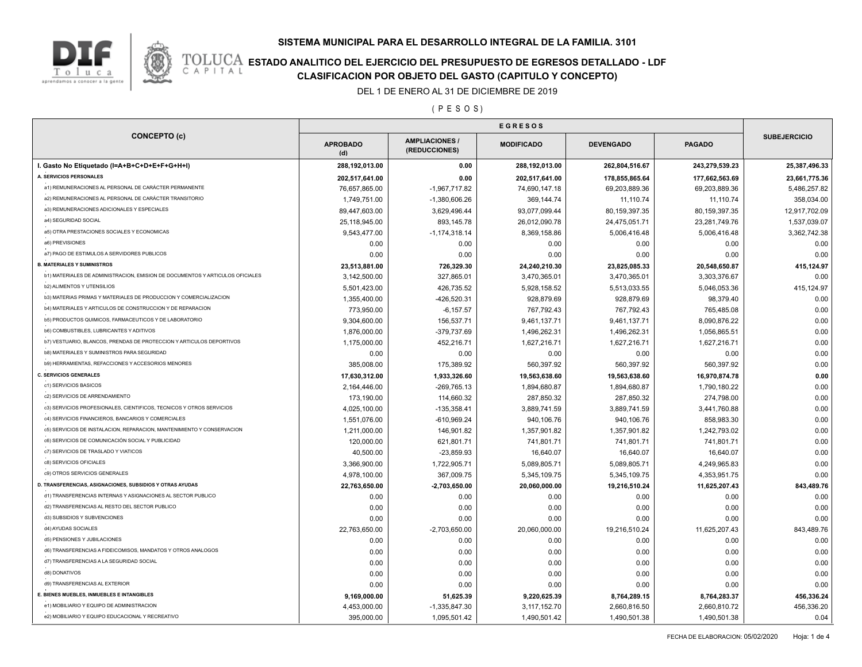



# **TOLUCA ESTADO ANALITICO DEL EJERCICIO DEL PRESUPUESTO DE EGRESOS DETALLADO - LDF**<br>CAPITAL CIASIFICACION POR OBJETO DEL GASTO (CAPITULO Y CONCEPTO) **CLASIFICACION POR OBJETO DEL GASTO (CAPITULO Y CONCEPTO)**

DEL 1 DE ENERO AL 31 DE DICIEMBRE DE 2019

( P E S O S )

| <b>CONCEPTO (c)</b>                                                           |                        |                                        |                   |                  |                |                     |
|-------------------------------------------------------------------------------|------------------------|----------------------------------------|-------------------|------------------|----------------|---------------------|
|                                                                               | <b>APROBADO</b><br>(d) | <b>AMPLIACIONES /</b><br>(REDUCCIONES) | <b>MODIFICADO</b> | <b>DEVENGADO</b> | <b>PAGADO</b>  | <b>SUBEJERCICIO</b> |
| I. Gasto No Etiquetado (I=A+B+C+D+E+F+G+H+I)                                  | 288,192,013.00         | 0.00                                   | 288,192,013.00    | 262,804,516.67   | 243,279,539.23 | 25,387,496.33       |
| A. SERVICIOS PERSONALES                                                       | 202,517,641.00         | 0.00                                   | 202,517,641.00    | 178,855,865.64   | 177,662,563.69 | 23,661,775.36       |
| a1) REMUNERACIONES AL PERSONAL DE CARÁCTER PERMANENTE                         | 76,657,865.00          | $-1,967,717.82$                        | 74,690,147.18     | 69,203,889.36    | 69,203,889.36  | 5,486,257.82        |
| a2) REMUNERACIONES AL PERSONAL DE CARÁCTER TRANSITORIO                        | 1,749,751.00           | $-1,380,606.26$                        | 369,144.74        | 11,110.74        | 11,110.74      | 358,034.00          |
| a3) REMUNERACIONES ADICIONALES Y ESPECIALES                                   | 89,447,603.00          | 3,629,496.44                           | 93,077,099.44     | 80,159,397.35    | 80,159,397.35  | 12,917,702.09       |
| a4) SEGURIDAD SOCIAL                                                          | 25,118,945.00          | 893,145.78                             | 26,012,090.78     | 24,475,051.71    | 23,281,749.76  | 1,537,039.07        |
| a5) OTRA PRESTACIONES SOCIALES Y ECONOMICAS                                   | 9,543,477.00           | $-1, 174, 318.14$                      | 8,369,158.86      | 5,006,416.48     | 5,006,416.48   | 3,362,742.38        |
| a6) PREVISIONES                                                               | 0.00                   | 0.00                                   | 0.00              | 0.00             | 0.00           | 0.00                |
| a7) PAGO DE ESTIMULOS A SERVIDORES PUBLICOS                                   | 0.00                   | 0.00                                   | 0.00              | 0.00             | 0.00           | 0.00                |
| <b>B. MATERIALES Y SUMINISTROS</b>                                            | 23,513,881.00          | 726,329.30                             | 24,240,210.30     | 23,825,085.33    | 20,548,650.87  | 415,124.97          |
| b1) MATERIALES DE ADMINISTRACION, EMISION DE DOCUMENTOS Y ARTICULOS OFICIALES | 3,142,500.00           | 327,865.01                             | 3,470,365.01      | 3,470,365.01     | 3,303,376.67   | 0.00                |
| <b>b2) ALIMENTOS Y UTENSILIOS</b>                                             | 5,501,423.00           | 426,735.52                             | 5,928,158.52      | 5,513,033.55     | 5,046,053.36   | 415,124.97          |
| b3) MATERIAS PRIMAS Y MATERIALES DE PRODUCCION Y COMERCIALIZACION             | 1,355,400.00           | -426,520.31                            | 928,879.69        | 928,879.69       | 98,379.40      | 0.00                |
| b4) MATERIALES Y ARTICULOS DE CONSTRUCCION Y DE REPARACION                    | 773,950.00             | $-6, 157.57$                           | 767,792.43        | 767,792.43       | 765,485.08     | 0.00                |
| b5) PRODUCTOS QUIMICOS, FARMACEUTICOS Y DE LABORATORIO                        | 9,304,600.00           | 156,537.71                             | 9,461,137.71      | 9,461,137.71     | 8,090,876.22   | 0.00                |
| b6) COMBUSTIBLES, LUBRICANTES Y ADITIVOS                                      | 1,876,000.00           | -379,737.69                            | 1,496,262.31      | 1,496,262.31     | 1,056,865.51   | 0.00                |
| b7) VESTUARIO, BLANCOS, PRENDAS DE PROTECCION Y ARTICULOS DEPORTIVOS          | 1,175,000.00           | 452,216.71                             | 1,627,216.71      | 1,627,216.71     | 1,627,216.71   | 0.00                |
| b8) MATERIALES Y SUMINISTROS PARA SEGURIDAD                                   | 0.00                   | 0.00                                   | 0.00              | 0.00             | 0.00           | 0.00                |
| b9) HERRAMIENTAS, REFACCIONES Y ACCESORIOS MENORES                            | 385,008.00             | 175,389.92                             | 560,397.92        | 560,397.92       | 560,397.92     | 0.00                |
| <b>C. SERVICIOS GENERALES</b>                                                 | 17,630,312.00          | 1,933,326.60                           | 19,563,638.60     | 19,563,638.60    | 16,970,874.78  | 0.00                |
| c1) SERVICIOS BASICOS                                                         | 2,164,446.00           | $-269,765.13$                          | 1,894,680.87      | 1,894,680.87     | 1,790,180.22   | 0.00                |
| c2) SERVICIOS DE ARRENDAMIENTO                                                | 173,190.00             | 114,660.32                             | 287,850.32        | 287,850.32       | 274,798.00     | 0.00                |
| c3) SERVICIOS PROFESIONALES, CIENTIFICOS, TECNICOS Y OTROS SERVICIOS          | 4,025,100.00           | $-135,358.41$                          | 3,889,741.59      | 3,889,741.59     | 3,441,760.88   | 0.00                |
| c4) SERVICIOS FINANCIEROS, BANCARIOS Y COMERCIALES                            | 1,551,076.00           | $-610,969.24$                          | 940,106.76        | 940,106.76       | 858,983.30     | 0.00                |
| c5) SERVICIOS DE INSTALACION, REPARACION, MANTENIMIENTO Y CONSERVACION        | 1,211,000.00           | 146,901.82                             | 1,357,901.82      | 1,357,901.82     | 1,242,793.02   | 0.00                |
| c6) SERVICIOS DE COMUNICACIÓN SOCIAL Y PUBLICIDAD                             | 120,000.00             | 621,801.71                             | 741,801.71        | 741,801.71       | 741,801.71     | 0.00                |
| c7) SERVICIOS DE TRASLADO Y VIATICOS                                          | 40,500.00              | $-23,859.93$                           | 16,640.07         | 16,640.07        | 16,640.07      | 0.00                |
| c8) SERVICIOS OFICIALES                                                       | 3,366,900.00           | 1,722,905.71                           | 5,089,805.71      | 5,089,805.71     | 4,249,965.83   | 0.00                |
| c9) OTROS SERVICIOS GENERALES                                                 | 4,978,100.00           | 367,009.75                             | 5,345,109.75      | 5,345,109.75     | 4,353,951.75   | 0.00                |
| D. TRANSFERENCIAS, ASIGNACIONES, SUBSIDIOS Y OTRAS AYUDAS                     | 22,763,650.00          | $-2,703,650.00$                        | 20,060,000.00     | 19,216,510.24    | 11,625,207.43  | 843,489.76          |
| d1) TRANSFERENCIAS INTERNAS Y ASIGNACIONES AL SECTOR PUBLICO                  | 0.00                   | 0.00                                   | 0.00              | 0.00             | 0.00           | 0.00                |
| d2) TRANSFERENCIAS AL RESTO DEL SECTOR PUBLICO                                | 0.00                   | 0.00                                   | 0.00              | 0.00             | 0.00           | 0.00                |
| d3) SUBSIDIOS Y SUBVENCIONES                                                  | 0.00                   | 0.00                                   | 0.00              | 0.00             | 0.00           | 0.00                |
| d4) AYUDAS SOCIALES                                                           | 22,763,650.00          | $-2,703,650.00$                        | 20,060,000.00     | 19,216,510.24    | 11,625,207.43  | 843,489.76          |
| d5) PENSIONES Y JUBILACIONES                                                  | 0.00                   | 0.00                                   | 0.00              | 0.00             | 0.00           | 0.00                |
| d6) TRANSFERENCIAS A FIDEICOMISOS, MANDATOS Y OTROS ANALOGOS                  | 0.00                   | 0.00                                   | 0.00              | 0.00             | 0.00           | 0.00                |
| d7) TRANSFERENCIAS A LA SEGURIDAD SOCIAL                                      | 0.00                   | 0.00                                   | 0.00              | 0.00             | 0.00           | 0.00                |
| d8) DONATIVOS                                                                 | 0.00                   | 0.00                                   | 0.00              | 0.00             | 0.00           | 0.00                |
| d9) TRANSFERENCIAS AL EXTERIOR                                                | 0.00                   | 0.00                                   | 0.00              | 0.00             | 0.00           | 0.00                |
| E. BIENES MUEBLES, INMUEBLES E INTANGIBLES                                    | 9,169,000.00           | 51,625.39                              | 9,220,625.39      | 8,764,289.15     | 8,764,283.37   | 456,336.24          |
| e1) MOBILIARIO Y EQUIPO DE ADMINISTRACION                                     | 4,453,000.00           | $-1,335,847.30$                        | 3,117,152.70      | 2,660,816.50     | 2,660,810.72   | 456,336.20          |
| e2) MOBILIARIO Y EQUIPO EDUCACIONAL Y RECREATIVO                              | 395,000.00             | 1,095,501.42                           | 1,490,501.42      | 1,490,501.38     | 1,490,501.38   | 0.04                |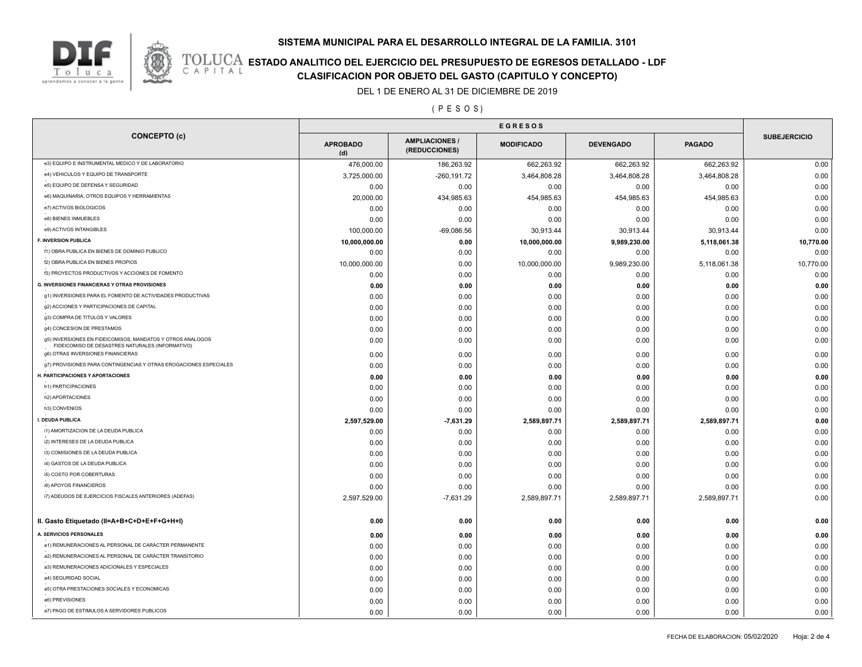### **SISTEMA MUNICIPAL PARA EL DESARROLLO INTEGRAL DE LA FAMILIA. 3101**



# **TOLUCA ESTADO ANALITICO DEL EJERCICIO DEL PRESUPUESTO DE EGRESOS DETALLADO - LDF**<br>CAPITAL CIASIFICACION POR OBJETO DEL GASTO (CAPITULO Y CONCEPTO) **CLASIFICACION POR OBJETO DEL GASTO (CAPITULO Y CONCEPTO)**

DEL 1 DE ENERO AL 31 DE DICIEMBRE DE 2019

( P E S O S )

|                                                                                                                |                        | <b>EGRESOS</b>                        |                   |                  |               |                     |  |
|----------------------------------------------------------------------------------------------------------------|------------------------|---------------------------------------|-------------------|------------------|---------------|---------------------|--|
| <b>CONCEPTO (c)</b>                                                                                            | <b>APROBADO</b><br>(d) | <b>AMPLIACIONES/</b><br>(REDUCCIONES) | <b>MODIFICADO</b> | <b>DEVENGADO</b> | <b>PAGADO</b> | <b>SUBEJERCICIO</b> |  |
| e3) EQUIPO E INSTRUMENTAL MEDICO Y DE LABORATORIO                                                              | 476,000.00             | 186,263.92                            | 662,263.92        | 662,263.92       | 662,263.92    | 0.00                |  |
| e4) VEHICULOS Y EQUIPO DE TRANSPORTE                                                                           | 3,725,000.00           | $-260, 191.72$                        | 3,464,808.28      | 3,464,808.28     | 3,464,808.28  | 0.00                |  |
| e5) EQUIPO DE DEFENSA Y SEGURIDAD                                                                              | 0.00                   | 0.00                                  | 0.00              | 0.00             | 0.00          | 0.00                |  |
| e6) MAQUINARIA, OTROS EQUIPOS Y HERRAMIENTAS                                                                   | 20,000.00              | 434,985.63                            | 454,985.63        | 454,985.63       | 454,985.63    | 0.00                |  |
| e7) ACTIVOS BIOLOGICOS                                                                                         | 0.00                   | 0.00                                  | 0.00              | 0.00             | 0.00          | 0.00                |  |
| e8) BIENES INMUEBLES                                                                                           | 0.00                   | 0.00                                  | 0.00              | 0.00             | 0.00          | 0.00                |  |
| e9) ACTIVOS INTANGIBLES                                                                                        | 100,000.00             | $-69,086.56$                          | 30,913.44         | 30,913.44        | 30,913.44     | 0.00                |  |
| <b>F. INVERSION PUBLICA</b>                                                                                    | 10,000,000.00          | 0.00                                  | 10,000,000.00     | 9,989,230.00     | 5,118,061.38  | 10,770.00           |  |
| f1) OBRA PUBLICA EN BIENES DE DOMINIO PUBLICO                                                                  | 0.00                   | 0.00                                  | 0.00              | 0.00             | 0.00          | 0.00                |  |
| f2) OBRA PUBLICA EN BIENES PROPIOS                                                                             | 10,000,000.00          | 0.00                                  | 10,000,000.00     | 9,989,230.00     | 5,118,061.38  | 10,770.00           |  |
| f3) PROYECTOS PRODUCTIVOS Y ACCIONES DE FOMENTO                                                                | 0.00                   | 0.00                                  | 0.00              | 0.00             | 0.00          | 0.00                |  |
| <b>G. INVERSIONES FINANCIERAS Y OTRAS PROVISIONES</b>                                                          | 0.00                   | 0.00                                  | 0.00              | 0.00             | 0.00          | 0.00                |  |
| g1) INVERSIONES PARA EL FOMENTO DE ACTIVIDADES PRODUCTIVAS                                                     | 0.00                   | 0.00                                  | 0.00              | 0.00             | 0.00          | 0.00                |  |
| g2) ACCIONES Y PARTICIPACIONES DE CAPITAL                                                                      | 0.00                   | 0.00                                  | 0.00              | 0.00             | 0.00          | 0.00                |  |
| g3) COMPRA DE TITULOS Y VALORES                                                                                | 0.00                   | 0.00                                  | 0.00              | 0.00             | 0.00          | 0.00                |  |
| g4) CONCESION DE PRESTAMOS                                                                                     | 0.00                   | 0.00                                  | 0.00              | 0.00             | 0.00          | 0.00                |  |
| g5) INVERSIONES EN FIDEICOMISOS, MANDATOS Y OTROS ANALOGOS<br>FIDEICOMISO DE DESASTRES NATURALES (INFORMATIVO) | 0.00                   | 0.00                                  | 0.00              | 0.00             | 0.00          | 0.00                |  |
| g6) OTRAS INVERSIONES FINANCIERAS                                                                              | 0.00                   | 0.00                                  | 0.00              | 0.00             | 0.00          | 0.00                |  |
| g7) PROVISIONES PARA CONTINGENCIAS Y OTRAS EROGACIONES ESPECIALES                                              | 0.00                   | 0.00                                  | 0.00              | 0.00             | 0.00          | 0.00                |  |
| H. PARTICIPACIONES Y APORTACIONES                                                                              | 0.00                   | 0.00                                  | 0.00              | 0.00             | 0.00          | 0.00                |  |
| h1) PARTICIPACIONES                                                                                            | 0.00                   | 0.00                                  | 0.00              | 0.00             | 0.00          | 0.00                |  |
| h2) APORTACIONES                                                                                               | 0.00                   | 0.00                                  | 0.00              | 0.00             | 0.00          | 0.00                |  |
| h3) CONVENIOS                                                                                                  | 0.00                   | 0.00                                  | 0.00              | 0.00             | 0.00          | 0.00                |  |
| I. DEUDA PUBLICA                                                                                               | 2,597,529.00           | -7,631.29                             | 2,589,897.71      | 2,589,897.71     | 2,589,897.71  | 0.00                |  |
| i1) AMORTIZACION DE LA DEUDA PUBLICA                                                                           | 0.00                   | 0.00                                  | 0.00              | 0.00             | 0.00          | 0.00                |  |
| i2) INTERESES DE LA DEUDA PUBLICA                                                                              | 0.00                   | 0.00                                  | 0.00              | 0.00             | 0.00          | 0.00                |  |
| i3) COMISIONES DE LA DEUDA PUBLICA                                                                             | 0.00                   | 0.00                                  | 0.00              | 0.00             | 0.00          | 0.00                |  |
| i4) GASTOS DE LA DEUDA PUBLICA                                                                                 | 0.00                   | 0.00                                  | 0.00              | 0.00             | 0.00          | 0.00                |  |
| i5) COSTO POR COBERTURAS                                                                                       | 0.00                   | 0.00                                  | 0.00              | 0.00             | 0.00          | 0.00                |  |
| i6) APOYOS FINANCIEROS                                                                                         | 0.00                   | 0.00                                  | 0.00              | 0.00             | 0.00          | 0.00                |  |
| i7) ADEUDOS DE EJERCICIOS FISCALES ANTERIORES (ADEFAS)                                                         | 2,597,529.00           | $-7,631.29$                           | 2,589,897.71      | 2,589,897.71     | 2,589,897.71  | 0.00                |  |
| II. Gasto Etiquetado (II=A+B+C+D+E+F+G+H+I)                                                                    | 0.00                   | 0.00                                  | 0.00              | 0.00             | 0.00          | 0.00                |  |
| A. SERVICIOS PERSONALES                                                                                        | 0.00                   | 0.00                                  | 0.00              | 0.00             | 0.00          | 0.00                |  |
| a1) REMUNERACIONES AL PERSONAL DE CARÁCTER PERMANENTE                                                          | 0.00                   | 0.00                                  | 0.00              | 0.00             | 0.00          | 0.00                |  |
| a2) REMUNERACIONES AL PERSONAL DE CARÁCTER TRANSITORIO                                                         | 0.00                   | 0.00                                  | 0.00              | 0.00             | 0.00          | 0.00                |  |
| a3) REMUNERACIONES ADICIONALES Y ESPECIALES                                                                    | 0.00                   | 0.00                                  | 0.00              | 0.00             | 0.00          | 0.00                |  |
| a4) SEGURIDAD SOCIAL                                                                                           | 0.00                   | 0.00                                  | 0.00              | 0.00             | 0.00          | 0.00                |  |
| a5) OTRA PRESTACIONES SOCIALES Y ECONOMICAS                                                                    | 0.00                   | 0.00                                  | 0.00              | 0.00             | 0.00          | 0.00                |  |
| a6) PREVISIONES                                                                                                | 0.00                   | 0.00                                  | 0.00              | 0.00             | 0.00          | 0.00                |  |
| a7) PAGO DE ESTIMULOS A SERVIDORES PUBLICOS                                                                    | 0.00                   | 0.00                                  | 0.00              | 0.00             | 0.00          | 0.00                |  |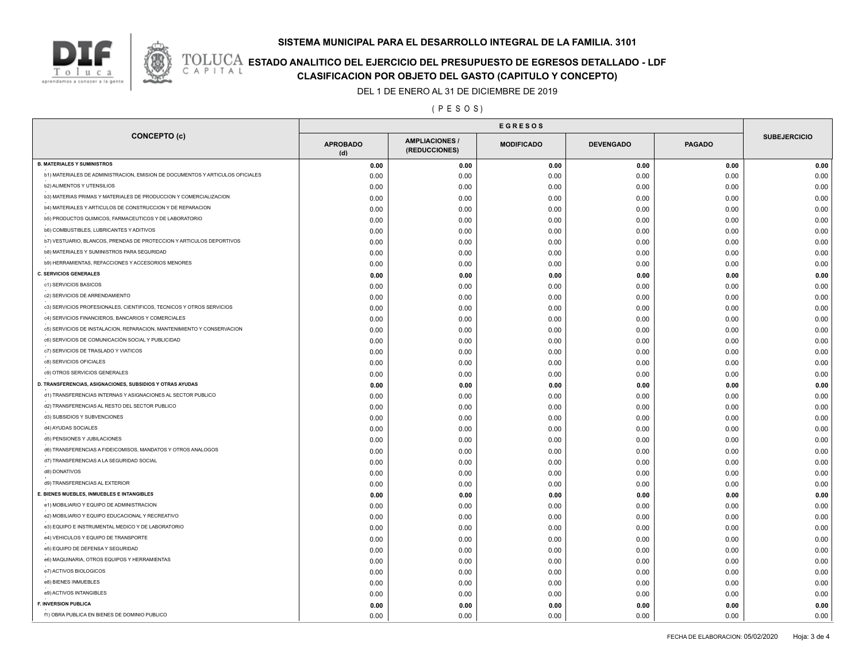### **SISTEMA MUNICIPAL PARA EL DESARROLLO INTEGRAL DE LA FAMILIA. 3101**



# **TOLUCA ESTADO ANALITICO DEL EJERCICIO DEL PRESUPUESTO DE EGRESOS DETALLADO - LDF**<br>CAPITAL CIASIFICACION POR OBJETO DEL GASTO (CAPITULO Y CONCEPTO) **CLASIFICACION POR OBJETO DEL GASTO (CAPITULO Y CONCEPTO)**

DEL 1 DE ENERO AL 31 DE DICIEMBRE DE 2019

( P E S O S )

| <b>CONCEPTO (c)</b>                                                           | <b>APROBADO</b><br>(d) | <b>AMPLIACIONES/</b><br>(REDUCCIONES) | <b>MODIFICADO</b> | <b>DEVENGADO</b> | <b>PAGADO</b> | <b>SUBEJERCICIO</b> |  |
|-------------------------------------------------------------------------------|------------------------|---------------------------------------|-------------------|------------------|---------------|---------------------|--|
| <b>B. MATERIALES Y SUMINISTROS</b>                                            | 0.00                   | 0.00                                  | 0.00              | 0.00             | 0.00          | 0.00                |  |
| b1) MATERIALES DE ADMINISTRACION, EMISION DE DOCUMENTOS Y ARTICULOS OFICIALES | 0.00                   | 0.00                                  | 0.00              | 0.00             | 0.00          | 0.00                |  |
| <b>b2) ALIMENTOS Y UTENSILIOS</b>                                             | 0.00                   | 0.00                                  | 0.00              | 0.00             | 0.00          | 0.00                |  |
| b3) MATERIAS PRIMAS Y MATERIALES DE PRODUCCION Y COMERCIALIZACION             | 0.00                   | 0.00                                  | 0.00              | 0.00             | 0.00          | 0.00                |  |
| b4) MATERIALES Y ARTICULOS DE CONSTRUCCION Y DE REPARACION                    | 0.00                   | 0.00                                  | 0.00              | 0.00             | 0.00          | 0.00                |  |
| b5) PRODUCTOS QUIMICOS, FARMACEUTICOS Y DE LABORATORIO                        | 0.00                   | 0.00                                  | 0.00              | 0.00             | 0.00          | 0.00                |  |
| b6) COMBUSTIBLES, LUBRICANTES Y ADITIVOS                                      | 0.00                   | 0.00                                  | 0.00              | 0.00             | 0.00          | 0.00                |  |
| b7) VESTUARIO, BLANCOS, PRENDAS DE PROTECCION Y ARTICULOS DEPORTIVOS          | 0.00                   | 0.00                                  | 0.00              | 0.00             | 0.00          | 0.00                |  |
| b8) MATERIALES Y SUMINISTROS PARA SEGURIDAD                                   | 0.00                   | 0.00                                  | 0.00              | 0.00             | 0.00          | 0.00                |  |
| b9) HERRAMIENTAS, REFACCIONES Y ACCESORIOS MENORES                            | 0.00                   | 0.00                                  | 0.00              | 0.00             | 0.00          | 0.00                |  |
| <b>C. SERVICIOS GENERALES</b>                                                 | 0.00                   | 0.00                                  | 0.00              | 0.00             | 0.00          | 0.00                |  |
| c1) SERVICIOS BASICOS                                                         | 0.00                   | 0.00                                  | 0.00              | 0.00             | 0.00          | 0.00                |  |
| c2) SERVICIOS DE ARRENDAMIENTO                                                | 0.00                   | 0.00                                  | 0.00              | 0.00             | 0.00          | 0.00                |  |
| c3) SERVICIOS PROFESIONALES, CIENTIFICOS, TECNICOS Y OTROS SERVICIOS          | 0.00                   | 0.00                                  | 0.00              | 0.00             | 0.00          | 0.00                |  |
| c4) SERVICIOS FINANCIEROS, BANCARIOS Y COMERCIALES                            | 0.00                   | 0.00                                  | 0.00              | 0.00             | 0.00          | 0.00                |  |
| c5) SERVICIOS DE INSTALACION, REPARACION, MANTENIMIENTO Y CONSERVACION        | 0.00                   | 0.00                                  | 0.00              | 0.00             | 0.00          | 0.00                |  |
| c6) SERVICIOS DE COMUNICACIÓN SOCIAL Y PUBLICIDAD                             | 0.00                   | 0.00                                  | 0.00              | 0.00             | 0.00          | 0.00                |  |
| c7) SERVICIOS DE TRASLADO Y VIATICOS                                          | 0.00                   | 0.00                                  | 0.00              | 0.00             | 0.00          | 0.00                |  |
| c8) SERVICIOS OFICIALES                                                       | 0.00                   | 0.00                                  | 0.00              | 0.00             | 0.00          | 0.00                |  |
| c9) OTROS SERVICIOS GENERALES                                                 | 0.00                   | 0.00                                  | 0.00              | 0.00             | 0.00          | 0.00                |  |
| D. TRANSFERENCIAS, ASIGNACIONES, SUBSIDIOS Y OTRAS AYUDAS                     | 0.00                   | 0.00                                  | 0.00              | 0.00             | 0.00          | 0.00                |  |
| d1) TRANSFERENCIAS INTERNAS Y ASIGNACIONES AL SECTOR PUBLICO                  | 0.00                   | 0.00                                  | 0.00              | 0.00             | 0.00          | 0.00                |  |
| d2) TRANSFERENCIAS AL RESTO DEL SECTOR PUBLICO                                | 0.00                   | 0.00                                  | 0.00              | 0.00             | 0.00          | 0.00                |  |
| d3) SUBSIDIOS Y SUBVENCIONES                                                  | 0.00                   | 0.00                                  | 0.00              | 0.00             | 0.00          | 0.00                |  |
| d4) AYUDAS SOCIALES                                                           | 0.00                   | 0.00                                  | 0.00              | 0.00             | 0.00          | 0.00                |  |
| d5) PENSIONES Y JUBILACIONES                                                  | 0.00                   | 0.00                                  | 0.00              | 0.00             | 0.00          | 0.00                |  |
| d6) TRANSFERENCIAS A FIDEICOMISOS, MANDATOS Y OTROS ANALOGOS                  | 0.00                   | 0.00                                  | 0.00              | 0.00             | 0.00          | 0.00                |  |
| d7) TRANSFERENCIAS A LA SEGURIDAD SOCIAL                                      | 0.00                   | 0.00                                  | 0.00              | 0.00             | 0.00          | 0.00                |  |
| d8) DONATIVOS                                                                 | 0.00                   | 0.00                                  | 0.00              | 0.00             | 0.00          | 0.00                |  |
| d9) TRANSFERENCIAS AL EXTERIOR                                                | 0.00                   | 0.00                                  | 0.00              | 0.00             | 0.00          | 0.00                |  |
| E. BIENES MUEBLES, INMUEBLES E INTANGIBLES                                    | 0.00                   | 0.00                                  | 0.00              | 0.00             | 0.00          | 0.00                |  |
| e1) MOBILIARIO Y EQUIPO DE ADMINISTRACION                                     | 0.00                   | 0.00                                  | 0.00              | 0.00             | 0.00          | 0.00                |  |
| e2) MOBILIARIO Y EQUIPO EDUCACIONAL Y RECREATIVO                              |                        |                                       | 0.00              |                  | 0.00          | 0.00                |  |
| e3) EQUIPO E INSTRUMENTAL MEDICO Y DE LABORATORIO                             | 0.00                   | 0.00                                  |                   | 0.00             |               | 0.00                |  |
| e4) VEHICULOS Y EQUIPO DE TRANSPORTE                                          | 0.00                   | 0.00                                  | 0.00              | 0.00             | 0.00          |                     |  |
| e5) EQUIPO DE DEFENSA Y SEGURIDAD                                             | 0.00                   | 0.00                                  | 0.00              | 0.00             | 0.00          | 0.00                |  |
| e6) MAQUINARIA, OTROS EQUIPOS Y HERRAMIENTAS                                  | 0.00                   | 0.00                                  | 0.00              | 0.00             | 0.00          | 0.00                |  |
| e7) ACTIVOS BIOLOGICOS                                                        | 0.00                   | 0.00                                  | 0.00              | 0.00             | 0.00          | 0.00                |  |
| e8) BIENES INMUEBLES                                                          | 0.00                   | 0.00                                  | 0.00              | 0.00             | 0.00          | 0.00                |  |
| e9) ACTIVOS INTANGIBLES                                                       | 0.00                   | 0.00                                  | 0.00              | 0.00             | 0.00          | 0.00                |  |
| <b>F. INVERSION PUBLICA</b>                                                   | 0.00                   | 0.00                                  | 0.00              | 0.00             | 0.00          | 0.00                |  |
|                                                                               | 0.00                   | 0.00                                  | 0.00              | 0.00             | 0.00          | 0.00                |  |
| f1) OBRA PUBLICA EN BIENES DE DOMINIO PUBLICO                                 | 0.00                   | 0.00                                  | 0.00              | 0.00             | 0.00          | 0.00                |  |